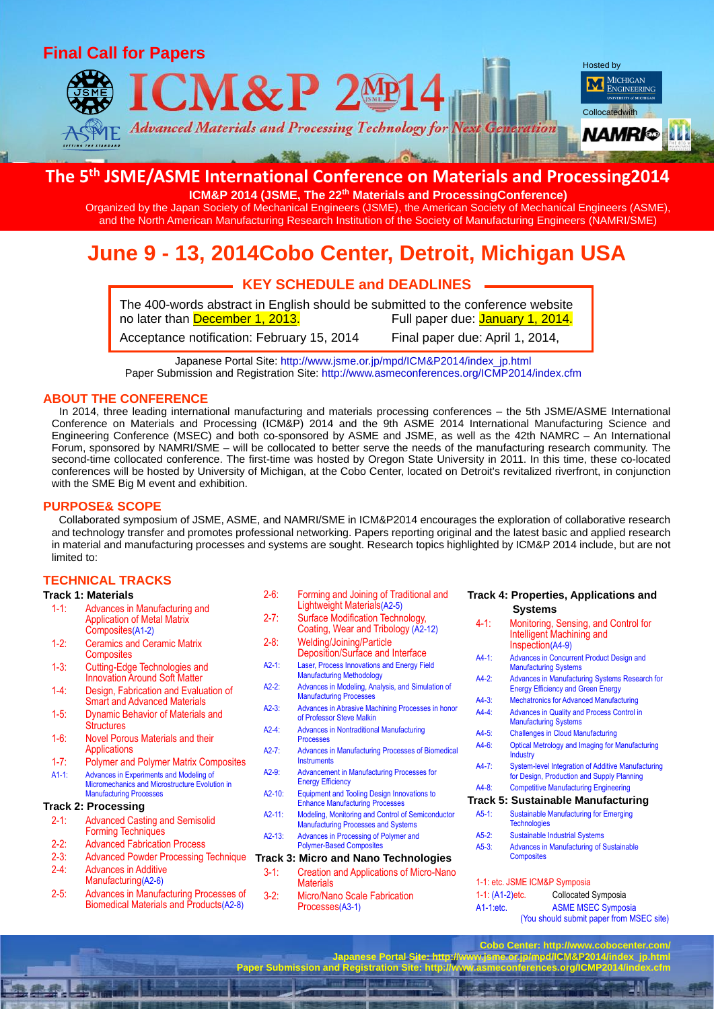

## **The 5 th JSME/ASME International Conference on Materials and Processing2014**

**ICM&P 2014 (JSME, The 22th Materials and ProcessingConference)**

Organized by the Japan Society of Mechanical Engineers (JSME), the American Society of Mechanical Engineers (ASME), and the North American Manufacturing Research Institution of the Society of Manufacturing Engineers (NAMRI/SME)

# **June 9 - 13, 2014Cobo Center, Detroit, Michigan USA**

## **KEY SCHEDULE and DEADLINES** The 400-words abstract in English should be submitted to the conference website no later than December 1, 2013. Full paper due: January 1, 2014. Acceptance notification: February 15, 2014 Final paper due: April 1, 2014,

Japanese Portal Site: http://www.jsme.or.jp/mpd/ICM&P2014/index\_jp.html Paper Submission and Registration Site: http://www.asmeconferences.org/ICMP2014/index.cfm

#### **ABOUT THE CONFERENCE**

In 2014, three leading international manufacturing and materials processing conferences – the 5th JSME/ASME International Conference on Materials and Processing (ICM&P) 2014 and the 9th ASME 2014 International Manufacturing Science and Engineering Conference (MSEC) and both co-sponsored by ASME and JSME, as well as the 42th NAMRC – An International Forum, sponsored by NAMRI/SME – will be collocated to better serve the needs of the manufacturing research community. The second-time collocated conference. The first-time was hosted by Oregon State University in 2011. In this time, these co-located conferences will be hosted by University of Michigan, at the Cobo Center, located on Detroit's revitalized riverfront, in conjunction with the SME Big M event and exhibition.

#### **PURPOSE& SCOPE**

Collaborated symposium of JSME, ASME, and NAMRI/SME in ICM&P2014 encourages the exploration of collaborative research and technology transfer and promotes professional networking. Papers reporting original and the latest basic and applied research in material and manufacturing processes and systems are sought. Research topics highlighted by ICM&P 2014 include, but are not limited to:

#### **TECHNICAL TRACKS**

#### **Track 1: Materials** 1-1: Advances in Manufacturing and Application of Metal Matrix Composites(A1-2) 1-2: Ceramics and Ceramic Matrix **Composites** 1-3: Cutting-Edge Technologies and Innovation Around Soft Matter 1-4: Design, Fabrication and Evaluation of Smart and Advanced Materials 1-5: Dynamic Behavior of Materials and **Structures** 1-6: Novel Porous Materials and their **Applications** 1-7: Polymer and Polymer Matrix Composites A1-1: Advances in Experiments and Modeling of Micromechanics and Microstructure Evolution in Manufacturing Processes **Track 2: Processing** 2-1: Advanced Casting and Semisolid Forming Techniques 2-2: Advanced Fabrication Process 2-3: Advanced Powder Processing Technique 2-4: Advances in Additive

Coating, Wear and Tribology (A2-12) 2-8: Welding/Joining/Particle Deposition/Surface and Interface

2-6: Forming and Joining of Traditional and Lightweight Materials(A2-5) 2-7: Surface Modification Technology,

- A2-1: Laser, Process Innovations and Energy Field Manufacturing Methodology
- A2-2: Advances in Modeling, Analysis, and Simulation of Manufacturing Processes
- A2-3: Advances in Abrasive Machining Processes in honor of Professor Steve Malkin
- A2-4: Advances in Nontraditional Manufacturing Processes
- A2-7: Advances in Manufacturing Processes of Biomedical **Instruments**
- A2-9: Advancement in Manufacturing Processes for Energy Efficiency
- A2-10: Equipment and Tooling Design Innovations to Enhance Manufacturing Processes
- A2-11: Modeling, Monitoring and Control of Semiconductor Manufacturing Processes and Systems
- A2-13: Advances in Processing of Polymer and Polymer-Based Composites

### **Track 3: Micro and Nano Technologies**

- 3-1: Creation and Applications of Micro-Nano **Materials**
- 3-2: Micro/Nano Scale Fabrication Processes(A3-1)

**Paper Submission and Registration** 

#### **Track 4: Properties, Applications and Systems**

| $4 - 1:$         | Monitoring, Sensing, and Control for<br>Intelligent Machining and<br>Inspection(A4-9)                   |  |
|------------------|---------------------------------------------------------------------------------------------------------|--|
| $A4-1$           | Advances in Concurrent Product Design and<br><b>Manufacturing Systems</b>                               |  |
| $A4-2$           | Advances in Manufacturing Systems Research for<br><b>Energy Efficiency and Green Energy</b>             |  |
| $A4-3:$          | <b>Mechatronics for Advanced Manufacturing</b>                                                          |  |
| $A4-4$           | Advances in Quality and Process Control in<br><b>Manufacturing Systems</b>                              |  |
| $A4-5:$          | <b>Challenges in Cloud Manufacturing</b>                                                                |  |
| $A4-6$           | <b>Optical Metrology and Imaging for Manufacturing</b><br>Industry                                      |  |
| $AA-7$ :         | <b>System-level Integration of Additive Manufacturing</b><br>for Design, Production and Supply Planning |  |
| $A4 - R$         | <b>Competitive Manufacturing Engineering</b>                                                            |  |
|                  | <b>Track 5: Sustainable Manufacturing</b>                                                               |  |
| $A5-1:$          | <b>Sustainable Manufacturing for Emerging</b><br><b>Technologies</b>                                    |  |
| $A5-2:$          | <b>Sustainable Industrial Systems</b>                                                                   |  |
| $A5-3:$          | Advances in Manufacturing of Sustainable<br><b>Composites</b>                                           |  |
|                  | 1-1: etc. JSME ICM&P Symposia                                                                           |  |
| 1-1: (A1-2) etc. | Collocated Symposia                                                                                     |  |
| $A1-1$ etc.      | <b>ASME MSEC Symposia</b>                                                                               |  |
|                  | (You should submit paper from MSEC site)                                                                |  |

**Cobo Center: http://www.cobocenter.com/ Japanese Portal Site: http://www.jsme.or.jp/mpd/ICM&P2014/index\_jp.html**

2-5: Advances in Manufacturing Processes of Biomedical Materials and Products(A2-8)

Manufacturing(A2-6)